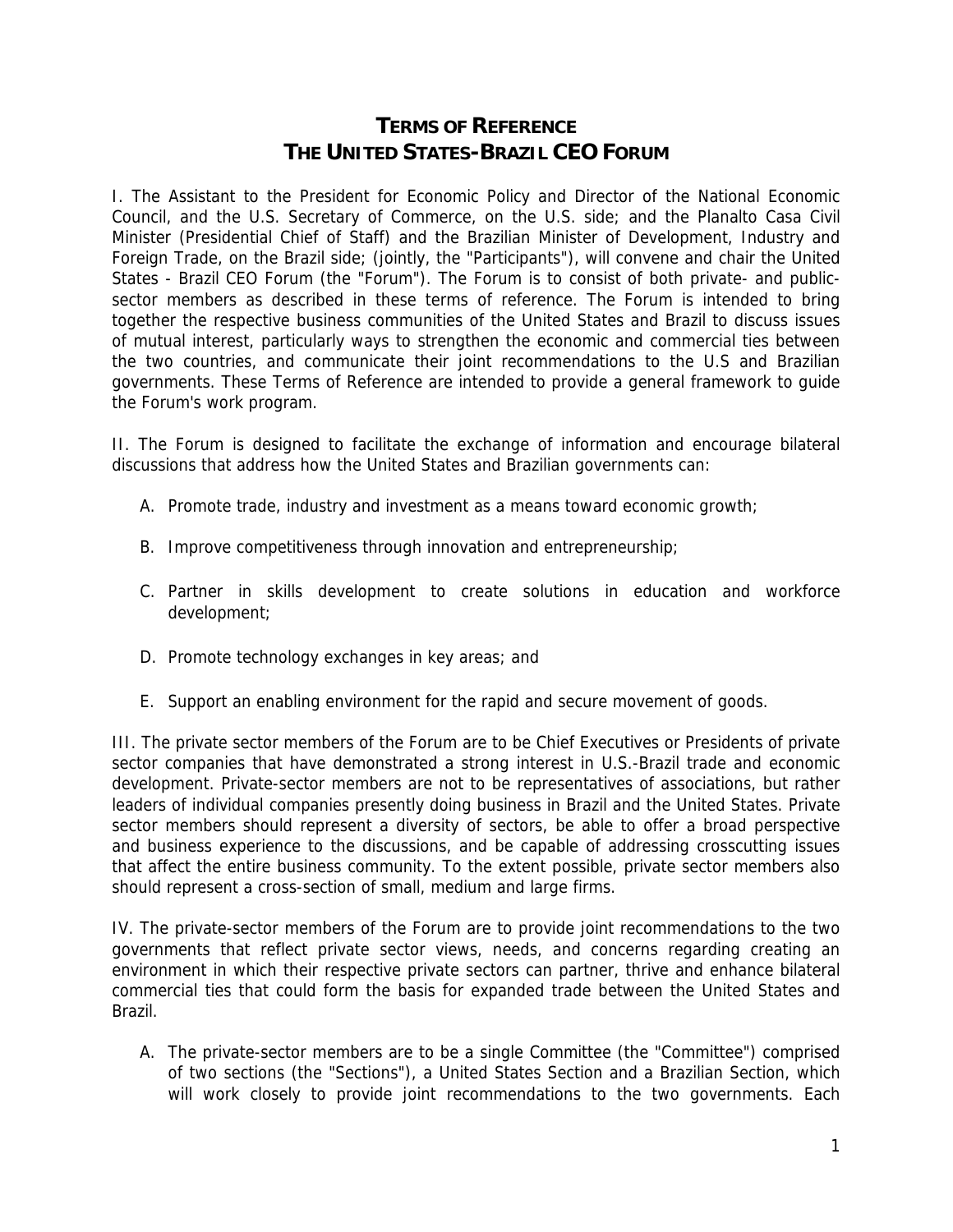## **TERMS OF REFERENCE THE UNITED STATES-BRAZIL CEO FORUM**

I. The Assistant to the President for Economic Policy and Director of the National Economic Council, and the U.S. Secretary of Commerce, on the U.S. side; and the Planalto Casa Civil Minister (Presidential Chief of Staff) and the Brazilian Minister of Development, Industry and Foreign Trade, on the Brazil side; (jointly, the "Participants"), will convene and chair the United States - Brazil CEO Forum (the "Forum"). The Forum is to consist of both private- and publicsector members as described in these terms of reference. The Forum is intended to bring together the respective business communities of the United States and Brazil to discuss issues of mutual interest, particularly ways to strengthen the economic and commercial ties between the two countries, and communicate their joint recommendations to the U.S and Brazilian governments. These Terms of Reference are intended to provide a general framework to guide the Forum's work program.

II. The Forum is designed to facilitate the exchange of information and encourage bilateral discussions that address how the United States and Brazilian governments can:

- A. Promote trade, industry and investment as a means toward economic growth;
- B. Improve competitiveness through innovation and entrepreneurship;
- C. Partner in skills development to create solutions in education and workforce development;
- D. Promote technology exchanges in key areas; and
- E. Support an enabling environment for the rapid and secure movement of goods.

III. The private sector members of the Forum are to be Chief Executives or Presidents of private sector companies that have demonstrated a strong interest in U.S.-Brazil trade and economic development. Private-sector members are not to be representatives of associations, but rather leaders of individual companies presently doing business in Brazil and the United States. Private sector members should represent a diversity of sectors, be able to offer a broad perspective and business experience to the discussions, and be capable of addressing crosscutting issues that affect the entire business community. To the extent possible, private sector members also should represent a cross-section of small, medium and large firms.

IV. The private-sector members of the Forum are to provide joint recommendations to the two governments that reflect private sector views, needs, and concerns regarding creating an environment in which their respective private sectors can partner, thrive and enhance bilateral commercial ties that could form the basis for expanded trade between the United States and Brazil.

A. The private-sector members are to be a single Committee (the "Committee") comprised of two sections (the "Sections"), a United States Section and a Brazilian Section, which will work closely to provide joint recommendations to the two governments. Each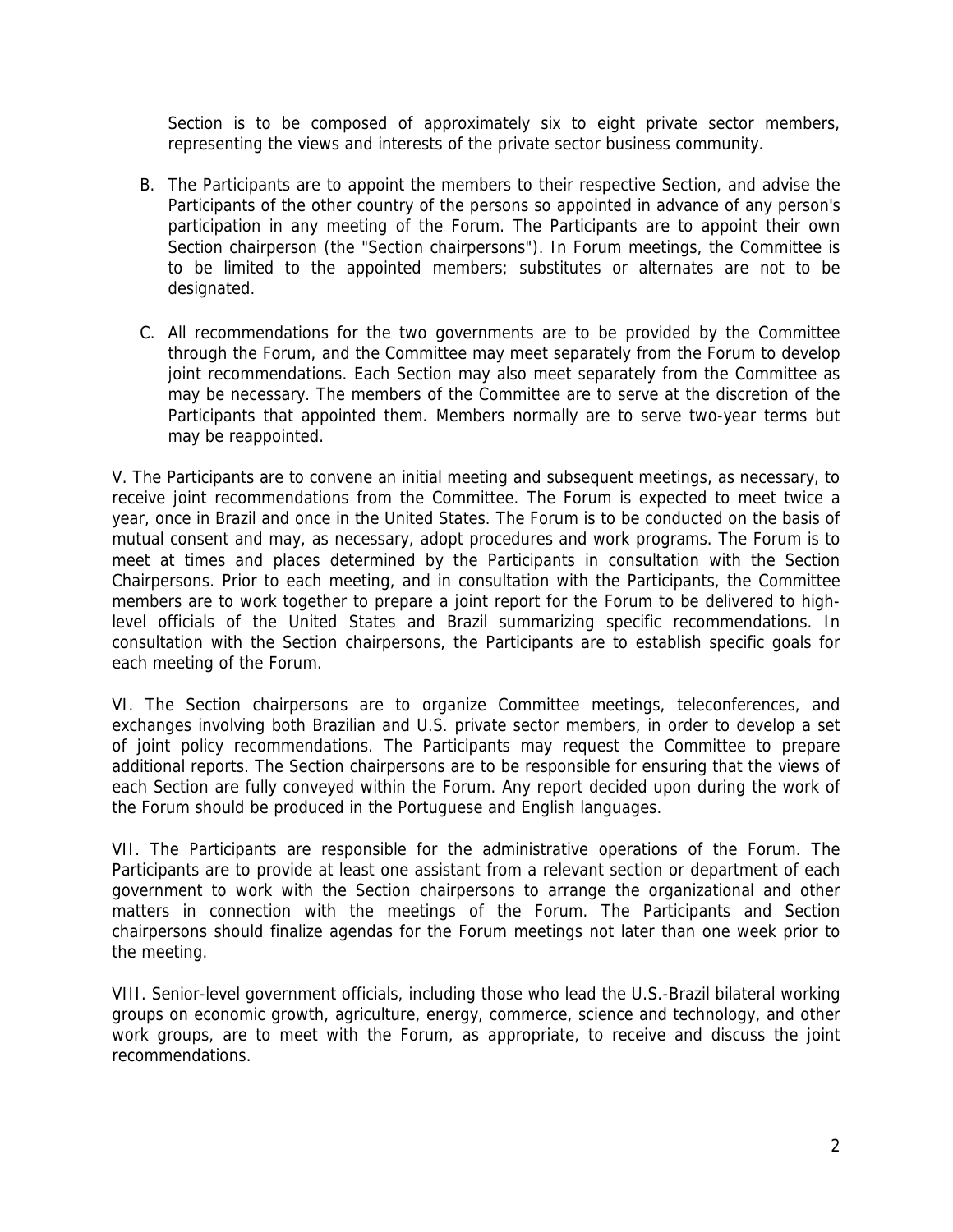Section is to be composed of approximately six to eight private sector members, representing the views and interests of the private sector business community.

- B. The Participants are to appoint the members to their respective Section, and advise the Participants of the other country of the persons so appointed in advance of any person's participation in any meeting of the Forum. The Participants are to appoint their own Section chairperson (the "Section chairpersons"). In Forum meetings, the Committee is to be limited to the appointed members; substitutes or alternates are not to be designated.
- C. All recommendations for the two governments are to be provided by the Committee through the Forum, and the Committee may meet separately from the Forum to develop joint recommendations. Each Section may also meet separately from the Committee as may be necessary. The members of the Committee are to serve at the discretion of the Participants that appointed them. Members normally are to serve two-year terms but may be reappointed.

V. The Participants are to convene an initial meeting and subsequent meetings, as necessary, to receive joint recommendations from the Committee. The Forum is expected to meet twice a year, once in Brazil and once in the United States. The Forum is to be conducted on the basis of mutual consent and may, as necessary, adopt procedures and work programs. The Forum is to meet at times and places determined by the Participants in consultation with the Section Chairpersons. Prior to each meeting, and in consultation with the Participants, the Committee members are to work together to prepare a joint report for the Forum to be delivered to highlevel officials of the United States and Brazil summarizing specific recommendations. In consultation with the Section chairpersons, the Participants are to establish specific goals for each meeting of the Forum.

VI. The Section chairpersons are to organize Committee meetings, teleconferences, and exchanges involving both Brazilian and U.S. private sector members, in order to develop a set of joint policy recommendations. The Participants may request the Committee to prepare additional reports. The Section chairpersons are to be responsible for ensuring that the views of each Section are fully conveyed within the Forum. Any report decided upon during the work of the Forum should be produced in the Portuguese and English languages.

VII. The Participants are responsible for the administrative operations of the Forum. The Participants are to provide at least one assistant from a relevant section or department of each government to work with the Section chairpersons to arrange the organizational and other matters in connection with the meetings of the Forum. The Participants and Section chairpersons should finalize agendas for the Forum meetings not later than one week prior to the meeting.

VIII. Senior-level government officials, including those who lead the U.S.-Brazil bilateral working groups on economic growth, agriculture, energy, commerce, science and technology, and other work groups, are to meet with the Forum, as appropriate, to receive and discuss the joint recommendations.